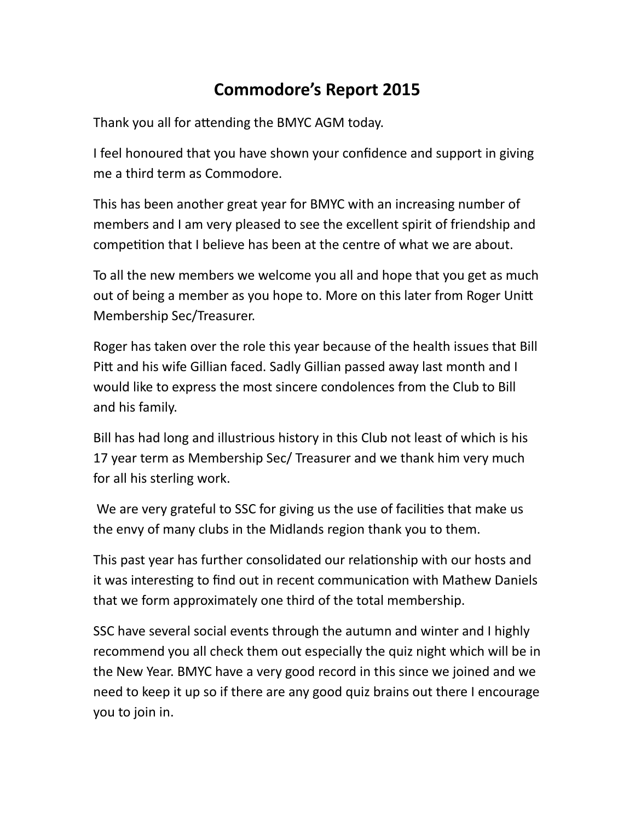## **Commodore's Report 2015**

Thank you all for attending the BMYC AGM today.

I feel honoured that you have shown your confidence and support in giving me a third term as Commodore.

This has been another great year for BMYC with an increasing number of members and I am very pleased to see the excellent spirit of friendship and competition that I believe has been at the centre of what we are about.

To all the new members we welcome you all and hope that you get as much out of being a member as you hope to. More on this later from Roger Unitt Membership Sec/Treasurer.

Roger has taken over the role this year because of the health issues that Bill Pitt and his wife Gillian faced. Sadly Gillian passed away last month and I would like to express the most sincere condolences from the Club to Bill and his family.

Bill has had long and illustrious history in this Club not least of which is his 17 year term as Membership Sec/ Treasurer and we thank him very much for all his sterling work.

We are very grateful to SSC for giving us the use of facilities that make us the envy of many clubs in the Midlands region thank you to them.

This past year has further consolidated our relationship with our hosts and it was interesting to find out in recent communication with Mathew Daniels that we form approximately one third of the total membership.

SSC have several social events through the autumn and winter and I highly recommend you all check them out especially the quiz night which will be in the New Year. BMYC have a very good record in this since we joined and we need to keep it up so if there are any good quiz brains out there I encourage you to join in.